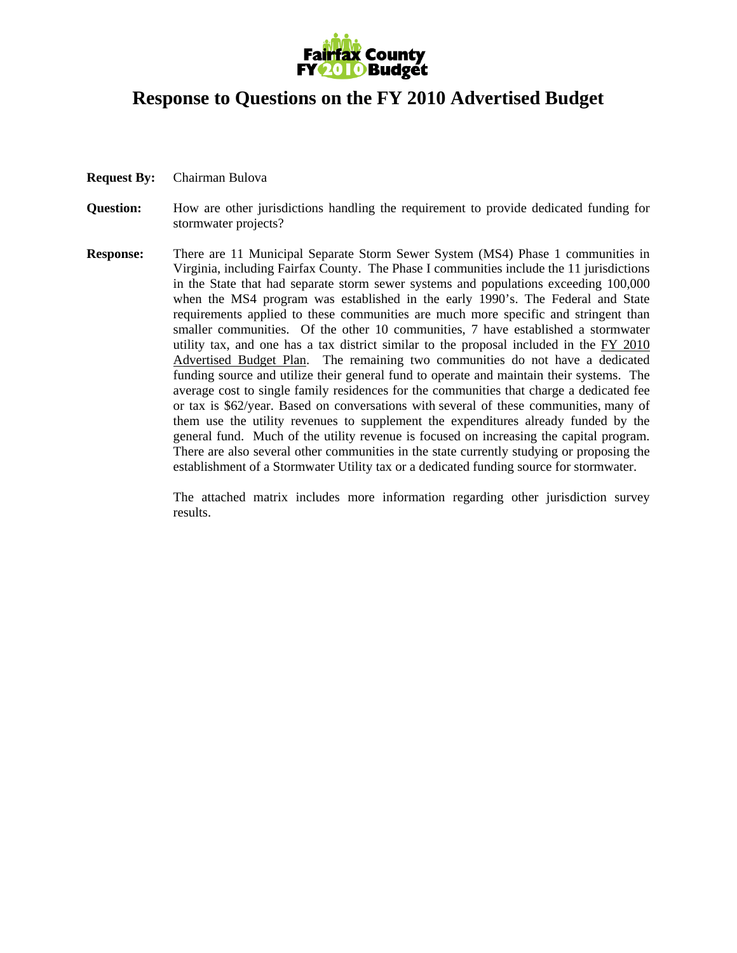

## **Response to Questions on the FY 2010 Advertised Budget**

- **Request By:** Chairman Bulova
- **Question:** How are other jurisdictions handling the requirement to provide dedicated funding for stormwater projects?
- **Response:** There are 11 Municipal Separate Storm Sewer System (MS4) Phase 1 communities in Virginia, including Fairfax County. The Phase I communities include the 11 jurisdictions in the State that had separate storm sewer systems and populations exceeding 100,000 when the MS4 program was established in the early 1990's. The Federal and State requirements applied to these communities are much more specific and stringent than smaller communities. Of the other 10 communities, 7 have established a stormwater utility tax, and one has a tax district similar to the proposal included in the FY 2010 Advertised Budget Plan. The remaining two communities do not have a dedicated funding source and utilize their general fund to operate and maintain their systems. The average cost to single family residences for the communities that charge a dedicated fee or tax is \$62/year. Based on conversations with several of these communities, many of them use the utility revenues to supplement the expenditures already funded by the general fund. Much of the utility revenue is focused on increasing the capital program. There are also several other communities in the state currently studying or proposing the establishment of a Stormwater Utility tax or a dedicated funding source for stormwater.

 The attached matrix includes more information regarding other jurisdiction survey results.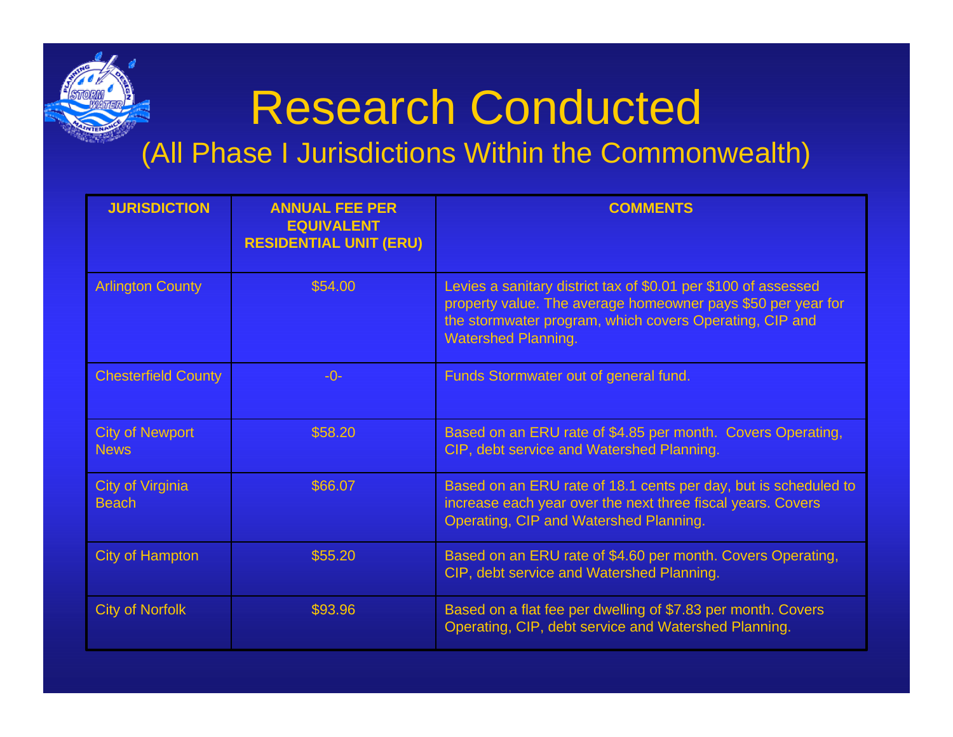

## Research Conducted

## (All Phase I Jurisdictions Within the Commonwealth)

| <b>JURISDICTION</b>                     | <b>ANNUAL FEE PER</b><br><b>EQUIVALENT</b><br><b>RESIDENTIAL UNIT (ERU)</b> | <b>COMMENTS</b>                                                                                                                                                                                                         |
|-----------------------------------------|-----------------------------------------------------------------------------|-------------------------------------------------------------------------------------------------------------------------------------------------------------------------------------------------------------------------|
| <b>Arlington County</b>                 | \$54.00                                                                     | Levies a sanitary district tax of \$0.01 per \$100 of assessed<br>property value. The average homeowner pays \$50 per year for<br>the stormwater program, which covers Operating, CIP and<br><b>Watershed Planning.</b> |
| <b>Chesterfield County</b>              | $-0-$                                                                       | Funds Stormwater out of general fund.                                                                                                                                                                                   |
| <b>City of Newport</b><br><b>News</b>   | \$58.20                                                                     | Based on an ERU rate of \$4.85 per month. Covers Operating,<br>CIP, debt service and Watershed Planning.                                                                                                                |
| <b>City of Virginia</b><br><b>Beach</b> | \$66.07                                                                     | Based on an ERU rate of 18.1 cents per day, but is scheduled to<br>increase each year over the next three fiscal years. Covers<br>Operating, CIP and Watershed Planning.                                                |
| <b>City of Hampton</b>                  | \$55.20                                                                     | Based on an ERU rate of \$4.60 per month. Covers Operating,<br>CIP, debt service and Watershed Planning.                                                                                                                |
| <b>City of Norfolk</b>                  | \$93.96                                                                     | Based on a flat fee per dwelling of \$7.83 per month. Covers<br>Operating, CIP, debt service and Watershed Planning.                                                                                                    |